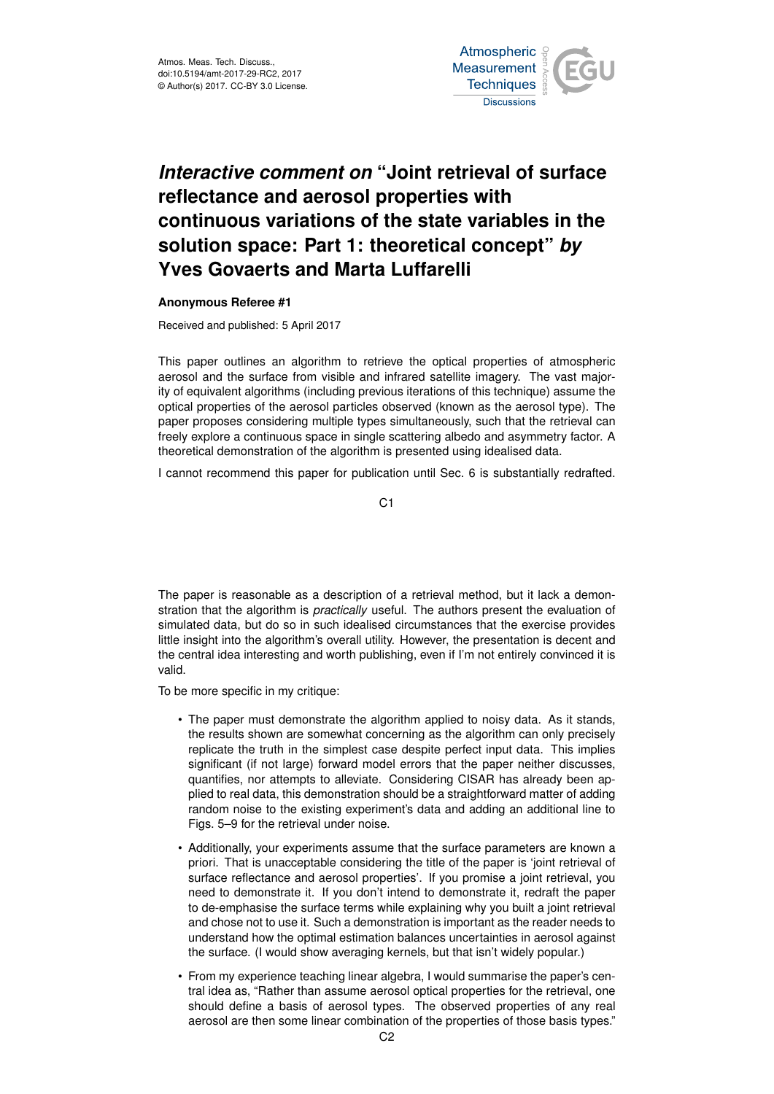

## *Interactive comment on* **"Joint retrieval of surface reflectance and aerosol properties with continuous variations of the state variables in the solution space: Part 1: theoretical concept"** *by* **Yves Govaerts and Marta Luffarelli**

## **Anonymous Referee #1**

Received and published: 5 April 2017

This paper outlines an algorithm to retrieve the optical properties of atmospheric aerosol and the surface from visible and infrared satellite imagery. The vast majority of equivalent algorithms (including previous iterations of this technique) assume the optical properties of the aerosol particles observed (known as the aerosol type). The paper proposes considering multiple types simultaneously, such that the retrieval can freely explore a continuous space in single scattering albedo and asymmetry factor. A theoretical demonstration of the algorithm is presented using idealised data.

I cannot recommend this paper for publication until Sec. 6 is substantially redrafted.

C1

The paper is reasonable as a description of a retrieval method, but it lack a demonstration that the algorithm is *practically* useful. The authors present the evaluation of simulated data, but do so in such idealised circumstances that the exercise provides little insight into the algorithm's overall utility. However, the presentation is decent and the central idea interesting and worth publishing, even if I'm not entirely convinced it is valid.

To be more specific in my critique:

- The paper must demonstrate the algorithm applied to noisy data. As it stands, the results shown are somewhat concerning as the algorithm can only precisely replicate the truth in the simplest case despite perfect input data. This implies significant (if not large) forward model errors that the paper neither discusses, quantifies, nor attempts to alleviate. Considering CISAR has already been applied to real data, this demonstration should be a straightforward matter of adding random noise to the existing experiment's data and adding an additional line to Figs. 5–9 for the retrieval under noise.
- Additionally, your experiments assume that the surface parameters are known a priori. That is unacceptable considering the title of the paper is 'joint retrieval of surface reflectance and aerosol properties'. If you promise a joint retrieval, you need to demonstrate it. If you don't intend to demonstrate it, redraft the paper to de-emphasise the surface terms while explaining why you built a joint retrieval and chose not to use it. Such a demonstration is important as the reader needs to understand how the optimal estimation balances uncertainties in aerosol against the surface. (I would show averaging kernels, but that isn't widely popular.)
- From my experience teaching linear algebra, I would summarise the paper's central idea as, "Rather than assume aerosol optical properties for the retrieval, one should define a basis of aerosol types. The observed properties of any real aerosol are then some linear combination of the properties of those basis types."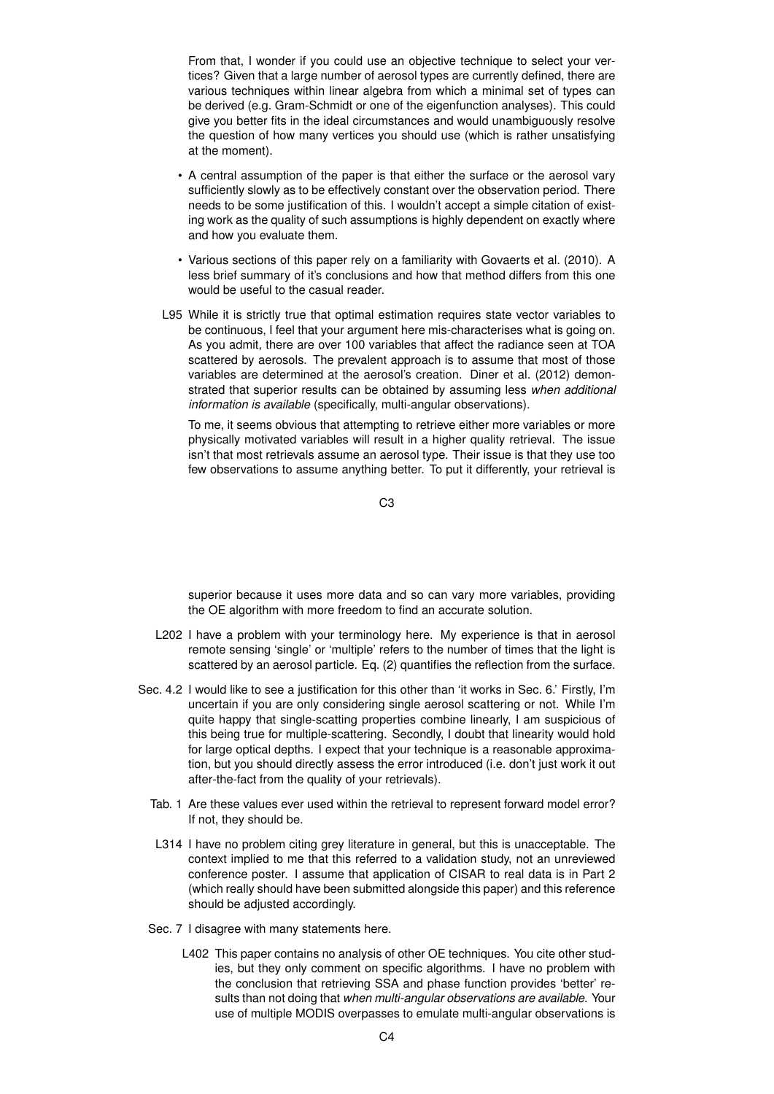From that, I wonder if you could use an objective technique to select your vertices? Given that a large number of aerosol types are currently defined, there are various techniques within linear algebra from which a minimal set of types can be derived (e.g. Gram-Schmidt or one of the eigenfunction analyses). This could give you better fits in the ideal circumstances and would unambiguously resolve the question of how many vertices you should use (which is rather unsatisfying at the moment).

- A central assumption of the paper is that either the surface or the aerosol vary sufficiently slowly as to be effectively constant over the observation period. There needs to be some justification of this. I wouldn't accept a simple citation of existing work as the quality of such assumptions is highly dependent on exactly where and how you evaluate them.
- Various sections of this paper rely on a familiarity with Govaerts et al. (2010). A less brief summary of it's conclusions and how that method differs from this one would be useful to the casual reader.
- L95 While it is strictly true that optimal estimation requires state vector variables to be continuous, I feel that your argument here mis-characterises what is going on. As you admit, there are over 100 variables that affect the radiance seen at TOA scattered by aerosols. The prevalent approach is to assume that most of those variables are determined at the aerosol's creation. Diner et al. (2012) demonstrated that superior results can be obtained by assuming less *when additional information is available* (specifically, multi-angular observations).

To me, it seems obvious that attempting to retrieve either more variables or more physically motivated variables will result in a higher quality retrieval. The issue isn't that most retrievals assume an aerosol type. Their issue is that they use too few observations to assume anything better. To put it differently, your retrieval is

C3

superior because it uses more data and so can vary more variables, providing the OE algorithm with more freedom to find an accurate solution.

- L202 I have a problem with your terminology here. My experience is that in aerosol remote sensing 'single' or 'multiple' refers to the number of times that the light is scattered by an aerosol particle. Eq. (2) quantifies the reflection from the surface.
- Sec. 4.2 I would like to see a justification for this other than 'it works in Sec. 6.' Firstly, I'm uncertain if you are only considering single aerosol scattering or not. While I'm quite happy that single-scatting properties combine linearly, I am suspicious of this being true for multiple-scattering. Secondly, I doubt that linearity would hold for large optical depths. I expect that your technique is a reasonable approximation, but you should directly assess the error introduced (i.e. don't just work it out after-the-fact from the quality of your retrievals).
	- Tab. 1 Are these values ever used within the retrieval to represent forward model error? If not, they should be.
	- L314 I have no problem citing grey literature in general, but this is unacceptable. The context implied to me that this referred to a validation study, not an unreviewed conference poster. I assume that application of CISAR to real data is in Part 2 (which really should have been submitted alongside this paper) and this reference should be adjusted accordingly.
	- Sec. 7 I disagree with many statements here.
		- L402 This paper contains no analysis of other OE techniques. You cite other studies, but they only comment on specific algorithms. I have no problem with the conclusion that retrieving SSA and phase function provides 'better' results than not doing that *when multi-angular observations are available*. Your use of multiple MODIS overpasses to emulate multi-angular observations is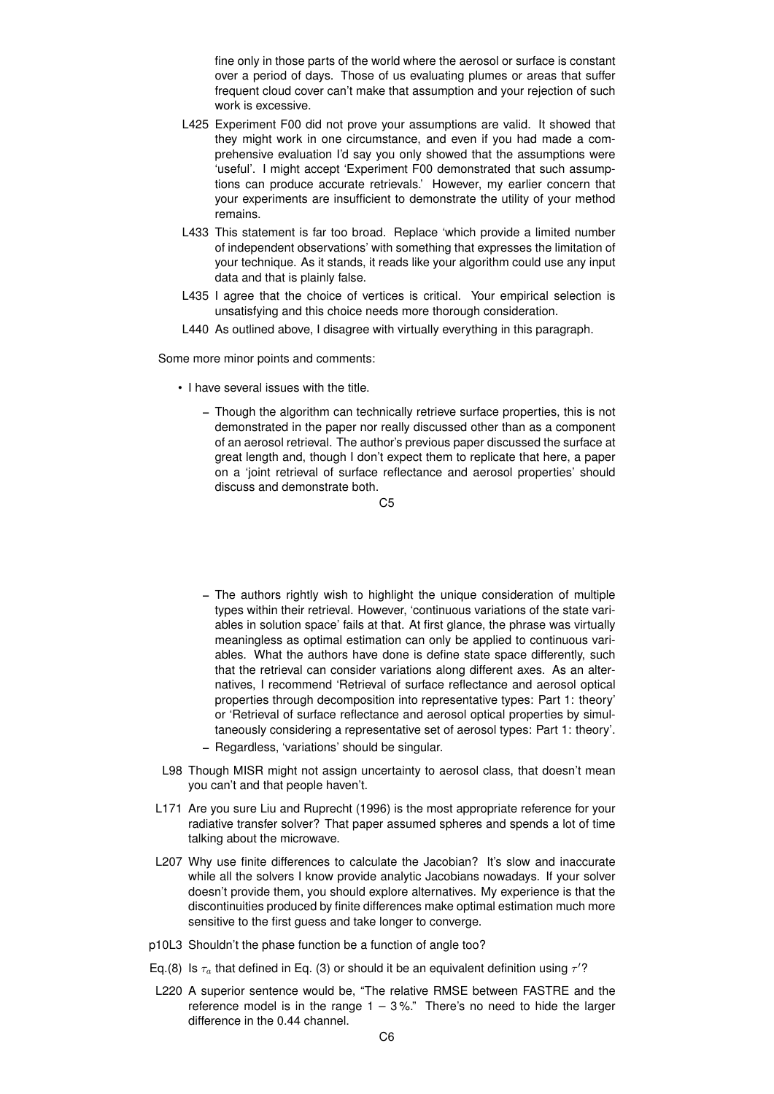fine only in those parts of the world where the aerosol or surface is constant over a period of days. Those of us evaluating plumes or areas that suffer frequent cloud cover can't make that assumption and your rejection of such work is excessive.

- L425 Experiment F00 did not prove your assumptions are valid. It showed that they might work in one circumstance, and even if you had made a comprehensive evaluation I'd say you only showed that the assumptions were 'useful'. I might accept 'Experiment F00 demonstrated that such assumptions can produce accurate retrievals.' However, my earlier concern that your experiments are insufficient to demonstrate the utility of your method remains.
- L433 This statement is far too broad. Replace 'which provide a limited number of independent observations' with something that expresses the limitation of your technique. As it stands, it reads like your algorithm could use any input data and that is plainly false.
- L435 I agree that the choice of vertices is critical. Your empirical selection is unsatisfying and this choice needs more thorough consideration.
- L440 As outlined above, I disagree with virtually everything in this paragraph.

Some more minor points and comments:

- I have several issues with the title.
	- Though the algorithm can technically retrieve surface properties, this is not demonstrated in the paper nor really discussed other than as a component of an aerosol retrieval. The author's previous paper discussed the surface at great length and, though I don't expect them to replicate that here, a paper on a 'joint retrieval of surface reflectance and aerosol properties' should discuss and demonstrate both.

- The authors rightly wish to highlight the unique consideration of multiple types within their retrieval. However, 'continuous variations of the state variables in solution space' fails at that. At first glance, the phrase was virtually meaningless as optimal estimation can only be applied to continuous variables. What the authors have done is define state space differently, such that the retrieval can consider variations along different axes. As an alternatives, I recommend 'Retrieval of surface reflectance and aerosol optical properties through decomposition into representative types: Part 1: theory' or 'Retrieval of surface reflectance and aerosol optical properties by simultaneously considering a representative set of aerosol types: Part 1: theory'.
- Regardless, 'variations' should be singular.
- L98 Though MISR might not assign uncertainty to aerosol class, that doesn't mean you can't and that people haven't.
- L171 Are you sure Liu and Ruprecht (1996) is the most appropriate reference for your radiative transfer solver? That paper assumed spheres and spends a lot of time talking about the microwave.
- L207 Why use finite differences to calculate the Jacobian? It's slow and inaccurate while all the solvers I know provide analytic Jacobians nowadays. If your solver doesn't provide them, you should explore alternatives. My experience is that the discontinuities produced by finite differences make optimal estimation much more sensitive to the first guess and take longer to converge.
- p10L3 Shouldn't the phase function be a function of angle too?
- Eq.(8) Is  $\tau_a$  that defined in Eq. (3) or should it be an equivalent definition using  $\tau'$ ?
- L220 A superior sentence would be, "The relative RMSE between FASTRE and the reference model is in the range  $1 - 3\%$ ." There's no need to hide the larger difference in the 0.44 channel.

 $C<sub>5</sub>$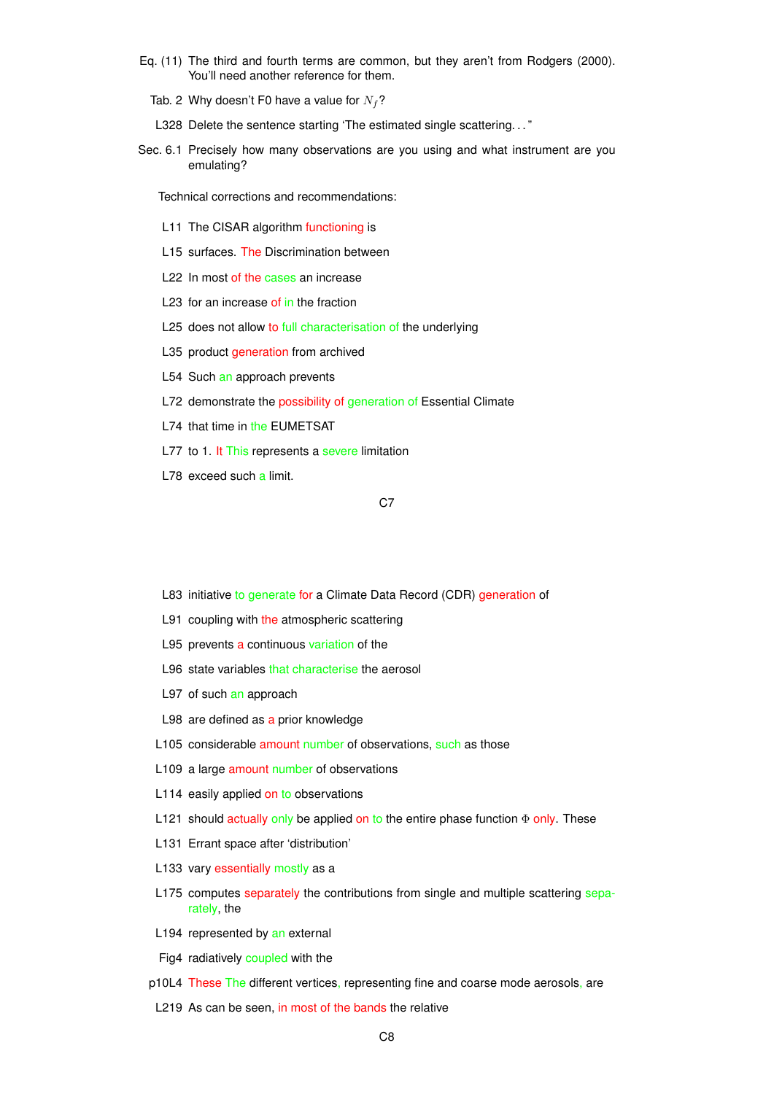- Eq. (11) The third and fourth terms are common, but they aren't from Rodgers (2000). You'll need another reference for them.
	- Tab. 2 Why doesn't F0 have a value for  $N_f$ ?
	- L328 Delete the sentence starting 'The estimated single scattering. . . "
- Sec. 6.1 Precisely how many observations are you using and what instrument are you emulating?

Technical corrections and recommendations:

- L11 The CISAR algorithm functioning is
- L15 surfaces. The Discrimination between
- L22 In most of the cases an increase
- L23 for an increase of in the fraction
- L25 does not allow to full characterisation of the underlying
- L35 product generation from archived
- L54 Such an approach prevents
- L72 demonstrate the possibility of generation of Essential Climate
- L74 that time in the EUMETSAT
- L77 to 1. It This represents a severe limitation
- L78 exceed such a limit.

## C<sub>7</sub>

- L83 initiative to generate for a Climate Data Record (CDR) generation of
- L91 coupling with the atmospheric scattering
- L95 prevents a continuous variation of the
- L96 state variables that characterise the aerosol
- L97 of such an approach
- L98 are defined as a prior knowledge
- L105 considerable amount number of observations, such as those
- L109 a large amount number of observations
- L114 easily applied on to observations
- L121 should actually only be applied on to the entire phase function  $\Phi$  only. These
- L131 Errant space after 'distribution'
- L133 vary essentially mostly as a
- L175 computes separately the contributions from single and multiple scattering separately, the
- L194 represented by an external
- Fig4 radiatively coupled with the
- p10L4 These The different vertices, representing fine and coarse mode aerosols, are
- L219 As can be seen, in most of the bands the relative